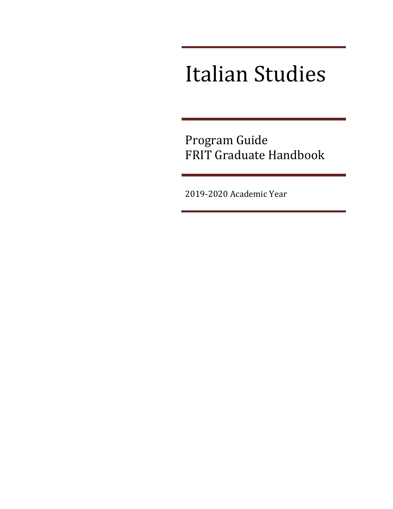# Italian Studies

Program Guide FRIT Graduate Handbook

2019-2020 Academic Year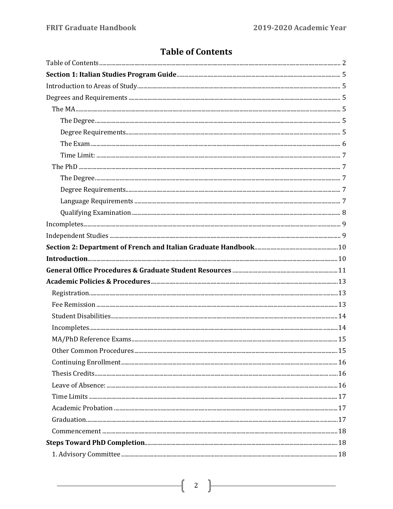# <span id="page-1-0"></span>**Table of Contents**

| In completes 14 |  |
|-----------------|--|
|                 |  |
|                 |  |
|                 |  |
|                 |  |
|                 |  |
|                 |  |
|                 |  |
|                 |  |
|                 |  |
|                 |  |
|                 |  |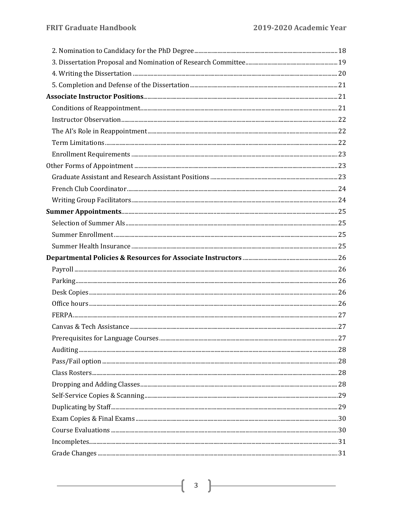| $\bf{Adding}\,\,{}_{\dots\,{}_{\dots\,{}_{\dots\,{}_{\dots\,{}_{\dots\,{}_{\dots\,{}_{\dots\,{}_{\dots\,{}_{\dots\,{}_{\dots\,{}_{\dots\,{}_{\dots\,{}_{\dots\,{}_{\dots\,{}_{\dots\,{}_{\dots\,{}_{\dots\,{}_{\dots\,{}_{\dots\,{}_{\dots\,{}_{\dots\,{}_{\dots\,{}_{\dots\,{}_{\dots\,{}_{\dots\,{}_{\dots\,{}_{\dots\,{}_{\dots\,{}_{\dots\,{}_{\dots\,{}_{\dots\,{}_{\dots\,{}_{\dots\,{}_{\dots\,{}_{\dots\,{}_{\$ |  |
|-------------------------------------------------------------------------------------------------------------------------------------------------------------------------------------------------------------------------------------------------------------------------------------------------------------------------------------------------------------------------------------------------------------------------|--|
|                                                                                                                                                                                                                                                                                                                                                                                                                         |  |
|                                                                                                                                                                                                                                                                                                                                                                                                                         |  |
|                                                                                                                                                                                                                                                                                                                                                                                                                         |  |
|                                                                                                                                                                                                                                                                                                                                                                                                                         |  |
|                                                                                                                                                                                                                                                                                                                                                                                                                         |  |
|                                                                                                                                                                                                                                                                                                                                                                                                                         |  |
|                                                                                                                                                                                                                                                                                                                                                                                                                         |  |
|                                                                                                                                                                                                                                                                                                                                                                                                                         |  |
|                                                                                                                                                                                                                                                                                                                                                                                                                         |  |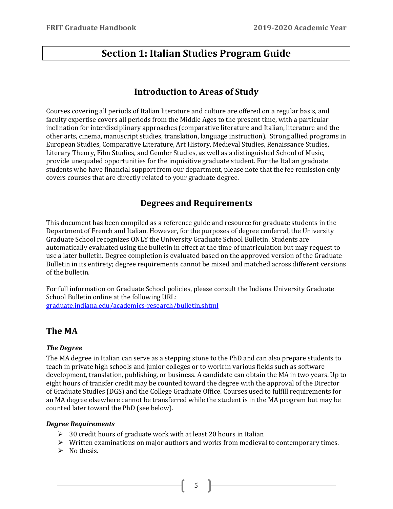# <span id="page-4-0"></span>**Section 1: Italian Studies Program Guide**

#### **Introduction to Areas of Study**

<span id="page-4-1"></span>Courses covering all periods of Italian literature and culture are offered on a regular basis, and faculty expertise covers all periods from the Middle Ages to the present time, with a particular inclination for interdisciplinary approaches (comparative literature and Italian, literature and the other arts, cinema, manuscript studies, translation, language instruction). Strong allied programs in European Studies, Comparative Literature, Art History, Medieval Studies, Renaissance Studies, Literary Theory, Film Studies, and Gender Studies, as well as a distinguished School of Music, provide unequaled opportunities for the inquisitive graduate student. For the Italian graduate students who have financial support from our department, please note that the fee remission only covers courses that are directly related to your graduate degree.

## **Degrees and Requirements**

<span id="page-4-2"></span>This document has been compiled as a reference guide and resource for graduate students in the Department of French and Italian. However, for the purposes of degree conferral, the University Graduate School recognizes ONLY the University Graduate School Bulletin. Students are automatically evaluated using the bulletin in effect at the time of matriculation but may request to use a later bulletin. Degree completion is evaluated based on the approved version of the Graduate Bulletin in its entirety; degree requirements cannot be mixed and matched across different versions of the bulletin.

For full information on Graduate School policies, please consult the Indiana University Graduate School Bulletin online at the following URL: [graduate.indiana.edu/academics-research/bulletin.shtml](http://graduate.indiana.edu/academics-research/bulletin.shtml)

# <span id="page-4-3"></span>**The MA**

#### <span id="page-4-4"></span>*The Degree*

The MA degree in Italian can serve as a stepping stone to the PhD and can also prepare students to teach in private high schools and junior colleges or to work in various fields such as software development, translation, publishing, or business. A candidate can obtain the MA in two years. Up to eight hours of transfer credit may be counted toward the degree with the approval of the Director of Graduate Studies (DGS) and the College Graduate Office. Courses used to fulfill requirements for an MA degree elsewhere cannot be transferred while the student is in the MA program but may be counted later toward the PhD (see below).

#### <span id="page-4-5"></span>*Degree Requirements*

- $\geq$  30 credit hours of graduate work with at least 20 hours in Italian
- $\triangleright$  Written examinations on major authors and works from medieval to contemporary times.
- $\triangleright$  No thesis.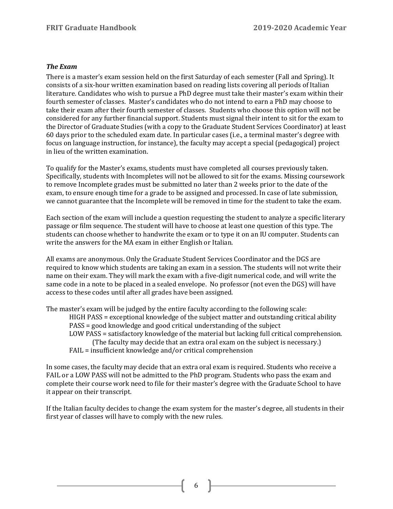#### <span id="page-5-0"></span>*The Exam*

There is a master's exam session held on the first Saturday of each semester (Fall and Spring). It consists of a six-hour written examination based on reading lists covering all periods of Italian literature. Candidates who wish to pursue a PhD degree must take their master's exam within their fourth semester of classes. Master's candidates who do not intend to earn a PhD may choose to take their exam after their fourth semester of classes. Students who choose this option will not be considered for any further financial support. Students must signal their intent to sit for the exam to the Director of Graduate Studies (with a copy to the Graduate Student Services Coordinator) at least 60 days prior to the scheduled exam date. In particular cases (i.e., a terminal master's degree with focus on language instruction, for instance), the faculty may accept a special (pedagogical) project in lieu of the written examination.

To qualify for the Master's exams, students must have completed all courses previously taken. Specifically, students with Incompletes will not be allowed to sit for the exams. Missing coursework to remove Incomplete grades must be submitted no later than 2 weeks prior to the date of the exam, to ensure enough time for a grade to be assigned and processed. In case of late submission, we cannot guarantee that the Incomplete will be removed in time for the student to take the exam.

Each section of the exam will include a question requesting the student to analyze a specific literary passage or film sequence. The student will have to choose at least one question of this type. The students can choose whether to handwrite the exam or to type it on an IU computer. Students can write the answers for the MA exam in either English or Italian.

All exams are anonymous. Only the Graduate Student Services Coordinator and the DGS are required to know which students are taking an exam in a session. The students will not write their name on their exam. They will mark the exam with a five-digit numerical code, and will write the same code in a note to be placed in a sealed envelope. No professor (not even the DGS) will have access to these codes until after all grades have been assigned.

The master's exam will be judged by the entire faculty according to the following scale:

HIGH PASS = exceptional knowledge of the subject matter and outstanding critical ability PASS = good knowledge and good critical understanding of the subject LOW PASS = satisfactory knowledge of the material but lacking full critical comprehension. (The faculty may decide that an extra oral exam on the subject is necessary.) FAIL = insufficient knowledge and/or critical comprehension

In some cases, the faculty may decide that an extra oral exam is required. Students who receive a FAIL or a LOW PASS will not be admitted to the PhD program. Students who pass the exam and complete their course work need to file for their master's degree with the Graduate School to have it appear on their transcript.

If the Italian faculty decides to change the exam system for the master's degree, all students in their first year of classes will have to comply with the new rules.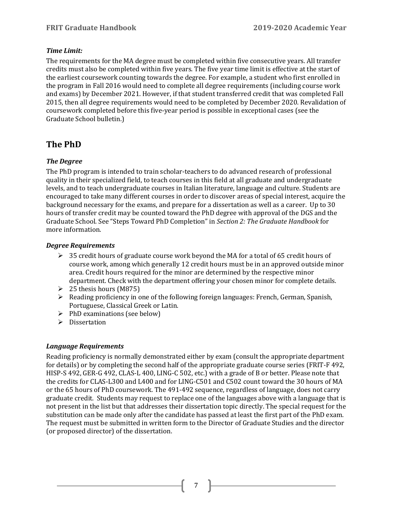#### <span id="page-6-0"></span>*Time Limit:*

The requirements for the MA degree must be completed within five consecutive years. All transfer credits must also be completed within five years. The five year time limit is effective at the start of the earliest coursework counting towards the degree. For example, a student who first enrolled in the program in Fall 2016 would need to complete all degree requirements (including course work and exams) by December 2021. However, if that student transferred credit that was completed Fall 2015, then all degree requirements would need to be completed by December 2020. Revalidation of coursework completed before this five-year period is possible in exceptional cases (see the Graduate School bulletin.)

# <span id="page-6-1"></span>**The PhD**

#### <span id="page-6-2"></span>*The Degree*

The PhD program is intended to train scholar-teachers to do advanced research of professional quality in their specialized field, to teach courses in this field at all graduate and undergraduate levels, and to teach undergraduate courses in Italian literature, language and culture. Students are encouraged to take many different courses in order to discover areas of special interest, acquire the background necessary for the exams, and prepare for a dissertation as well as a career. Up to 30 hours of transfer credit may be counted toward the PhD degree with approval of the DGS and the Graduate School. See "Steps Toward PhD Completion" in *Section 2: The Graduate Handbook* for more information.

#### <span id="page-6-3"></span>*Degree Requirements*

- $\geq$  35 credit hours of graduate course work beyond the MA for a total of 65 credit hours of course work, among which generally 12 credit hours must be in an approved outside minor area. Credit hours required for the minor are determined by the respective minor department. Check with the department offering your chosen minor for complete details.
- $\geq 25$  thesis hours (M875)
- $\triangleright$  Reading proficiency in one of the following foreign languages: French, German, Spanish, Portuguese, Classical Greek or Latin.
- $\triangleright$  PhD examinations (see below)
- $\triangleright$  Dissertation

#### <span id="page-6-4"></span>*Language Requirements*

Reading proficiency is normally demonstrated either by exam (consult the appropriate department for details) or by completing the second half of the appropriate graduate course series (FRIT-F 492, HISP-S 492, GER-G 492, CLAS-L 400, LING-C 502, etc.) with a grade of B or better. Please note that the credits for CLAS-L300 and L400 and for LING-C501 and C502 count toward the 30 hours of MA or the 65 hours of PhD coursework. The 491-492 sequence, regardless of language, does not carry graduate credit. Students may request to replace one of the languages above with a language that is not present in the list but that addresses their dissertation topic directly. The special request for the substitution can be made only after the candidate has passed at least the first part of the PhD exam. The request must be submitted in written form to the Director of Graduate Studies and the director (or proposed director) of the dissertation.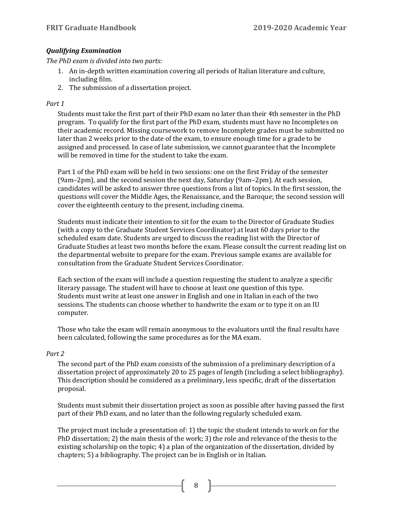#### <span id="page-7-0"></span>*Qualifying Examination*

*The PhD exam is divided into two parts:*

- 1. An in-depth written examination covering all periods of Italian literature and culture, including film.
- 2. The submission of a dissertation project.

#### *Part 1*

Students must take the first part of their PhD exam no later than their 4th semester in the PhD program. To qualify for the first part of the PhD exam, students must have no Incompletes on their academic record. Missing coursework to remove Incomplete grades must be submitted no later than 2 weeks prior to the date of the exam, to ensure enough time for a grade to be assigned and processed. In case of late submission, we cannot guarantee that the Incomplete will be removed in time for the student to take the exam.

Part 1 of the PhD exam will be held in two sessions: one on the first Friday of the semester (9am–2pm), and the second session the next day, Saturday (9am–2pm). At each session, candidates will be asked to answer three questions from a list of topics. In the first session, the questions will cover the Middle Ages, the Renaissance, and the Baroque; the second session will cover the eighteenth century to the present, including cinema.

Students must indicate their intention to sit for the exam to the Director of Graduate Studies (with a copy to the Graduate Student Services Coordinator) at least 60 days prior to the scheduled exam date. Students are urged to discuss the reading list with the Director of Graduate Studies at least two months before the exam. Please consult the current reading list on the departmental website to prepare for the exam. Previous sample exams are available for consultation from the Graduate Student Services Coordinator.

Each section of the exam will include a question requesting the student to analyze a specific literary passage. The student will have to choose at least one question of this type. Students must write at least one answer in English and one in Italian in each of the two sessions. The students can choose whether to handwrite the exam or to type it on an IU computer.

Those who take the exam will remain anonymous to the evaluators until the final results have been calculated, following the same procedures as for the MA exam.

#### *Part 2*

The second part of the PhD exam consists of the submission of a preliminary description of a dissertation project of approximately 20 to 25 pages of length (including a select bibliography). This description should be considered as a preliminary, less specific, draft of the dissertation proposal.

Students must submit their dissertation project as soon as possible after having passed the first part of their PhD exam, and no later than the following regularly scheduled exam.

The project must include a presentation of: 1) the topic the student intends to work on for the PhD dissertation; 2) the main thesis of the work; 3) the role and relevance of the thesis to the existing scholarship on the topic; 4) a plan of the organization of the dissertation, divided by chapters; 5) a bibliography. The project can be in English or in Italian.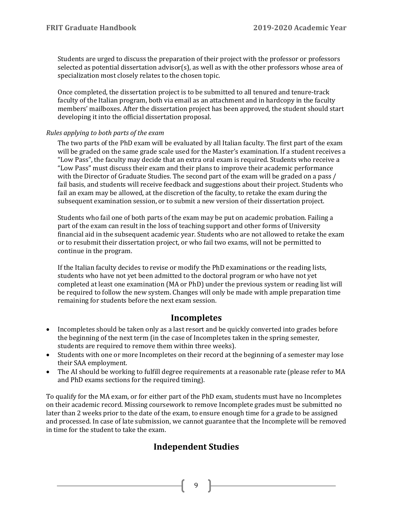Students are urged to discuss the preparation of their project with the professor or professors selected as potential dissertation advisor(s), as well as with the other professors whose area of specialization most closely relates to the chosen topic.

Once completed, the dissertation project is to be submitted to all tenured and tenure-track faculty of the Italian program, both via email as an attachment and in hardcopy in the faculty members' mailboxes. After the dissertation project has been approved, the student should start developing it into the official dissertation proposal.

#### *Rules applying to both parts of the exam*

The two parts of the PhD exam will be evaluated by all Italian faculty. The first part of the exam will be graded on the same grade scale used for the Master's examination. If a student receives a "Low Pass", the faculty may decide that an extra oral exam is required. Students who receive a "Low Pass" must discuss their exam and their plans to improve their academic performance with the Director of Graduate Studies. The second part of the exam will be graded on a pass / fail basis, and students will receive feedback and suggestions about their project. Students who fail an exam may be allowed, at the discretion of the faculty, to retake the exam during the subsequent examination session, or to submit a new version of their dissertation project.

Students who fail one of both parts of the exam may be put on academic probation. Failing a part of the exam can result in the loss of teaching support and other forms of University financial aid in the subsequent academic year. Students who are not allowed to retake the exam or to resubmit their dissertation project, or who fail two exams, will not be permitted to continue in the program.

If the Italian faculty decides to revise or modify the PhD examinations or the reading lists, students who have not yet been admitted to the doctoral program or who have not yet completed at least one examination (MA or PhD) under the previous system or reading list will be required to follow the new system. Changes will only be made with ample preparation time remaining for students before the next exam session.

### **Incompletes**

- <span id="page-8-0"></span>• Incompletes should be taken only as a last resort and be quickly converted into grades before the beginning of the next term (in the case of Incompletes taken in the spring semester, students are required to remove them within three weeks).
- Students with one or more Incompletes on their record at the beginning of a semester may lose their SAA employment.
- The AI should be working to fulfill degree requirements at a reasonable rate (please refer to MA and PhD exams sections for the required timing).

<span id="page-8-1"></span>To qualify for the MA exam, or for either part of the PhD exam, students must have no Incompletes on their academic record. Missing coursework to remove Incomplete grades must be submitted no later than 2 weeks prior to the date of the exam, to ensure enough time for a grade to be assigned and processed. In case of late submission, we cannot guarantee that the Incomplete will be removed in time for the student to take the exam.

# **Independent Studies**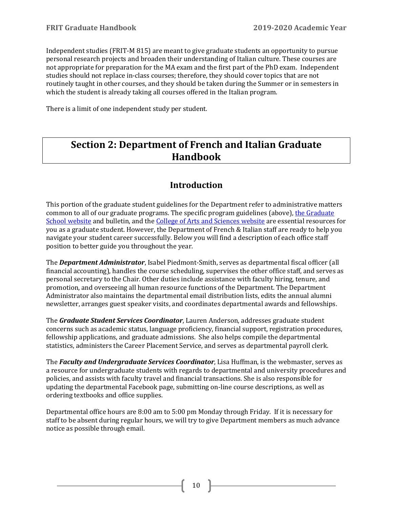Independent studies (FRIT-M 815) are meant to give graduate students an opportunity to pursue personal research projects and broaden their understanding of Italian culture. These courses are not appropriate for preparation for the MA exam and the first part of the PhD exam. Independent studies should not replace in-class courses; therefore, they should cover topics that are not routinely taught in other courses, and they should be taken during the Summer or in semesters in which the student is already taking all courses offered in the Italian program.

There is a limit of one independent study per student.

# <span id="page-9-0"></span>**Section 2: Department of French and Italian Graduate Handbook**

# **Introduction**

<span id="page-9-1"></span>This portion of the graduate student guidelines for the Department refer to administrative matters common to all of our graduate programs. The specific program guidelines (above), the Graduate [School website](https://graduate.indiana.edu/) and bulletin, and th[e College of Arts and Sciences website](https://college.indiana.edu/student-portal/graduate-students/index.html) are essential resources for you as a graduate student. However, the Department of French & Italian staff are ready to help you navigate your student career successfully. Below you will find a description of each office staff position to better guide you throughout the year.

The *Department Administrator*, Isabel Piedmont-Smith, serves as departmental fiscal officer (all financial accounting), handles the course scheduling, supervises the other office staff, and serves as personal secretary to the Chair. Other duties include assistance with faculty hiring, tenure, and promotion, and overseeing all human resource functions of the Department. The Department Administrator also maintains the departmental email distribution lists, edits the annual alumni newsletter, arranges guest speaker visits, and coordinates departmental awards and fellowships.

The *Graduate Student Services Coordinator*, Lauren Anderson, addresses graduate student concerns such as academic status, language proficiency, financial support, registration procedures, fellowship applications, and graduate admissions. She also helps compile the departmental statistics, administers the Career Placement Service, and serves as departmental payroll clerk.

The *Faculty and Undergraduate Services Coordinator*, Lisa Huffman, is the webmaster, serves as a resource for undergraduate students with regards to departmental and university procedures and policies, and assists with faculty travel and financial transactions. She is also responsible for updating the departmental Facebook page, submitting on-line course descriptions, as well as ordering textbooks and office supplies.

Departmental office hours are 8:00 am to 5:00 pm Monday through Friday. If it is necessary for staff to be absent during regular hours, we will try to give Department members as much advance notice as possible through email.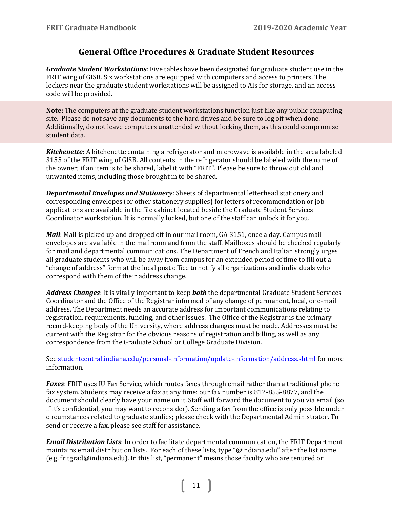## **General Office Procedures & Graduate Student Resources**

<span id="page-10-0"></span>*Graduate Student Workstations*: Five tables have been designated for graduate student use in the FRIT wing of GISB. Six workstations are equipped with computers and access to printers. The lockers near the graduate student workstations will be assigned to AIs for storage, and an access code will be provided.

**Note:** The computers at the graduate student workstations function just like any public computing site. Please do not save any documents to the hard drives and be sure to log off when done. Additionally, do not leave computers unattended without locking them, as this could compromise student data.

*Kitchenette*: A kitchenette containing a refrigerator and microwave is available in the area labeled 3155 of the FRIT wing of GISB. All contents in the refrigerator should be labeled with the name of the owner; if an item is to be shared, label it with "FRIT". Please be sure to throw out old and unwanted items, including those brought in to be shared.

*Departmental Envelopes and Stationery*: Sheets of departmental letterhead stationery and corresponding envelopes (or other stationery supplies) for letters of recommendation or job applications are available in the file cabinet located beside the Graduate Student Services Coordinator workstation. It is normally locked, but one of the staff can unlock it for you.

*Mail*: Mail is picked up and dropped off in our mail room, GA 3151, once a day. Campus mail envelopes are available in the mailroom and from the staff. Mailboxes should be checked regularly for mail and departmental communications. The Department of French and Italian strongly urges all graduate students who will be away from campus for an extended period of time to fill out a "change of address" form at the local post office to notify all organizations and individuals who correspond with them of their address change.

*Address Changes*: It is vitally important to keep *both* the departmental Graduate Student Services Coordinator and the Office of the Registrar informed of any change of permanent, local, or e-mail address. The Department needs an accurate address for important communications relating to registration, requirements, funding, and other issues. The Office of the Registrar is the primary record-keeping body of the University, where address changes must be made. Addresses must be current with the Registrar for the obvious reasons of registration and billing, as well as any correspondence from the Graduate School or College Graduate Division.

Se[e studentcentral.indiana.edu/personal-information/update-information/address.shtml](http://studentcentral.indiana.edu/personal-information/update-information/address.shtml) for more information.

*Faxes*: FRIT uses IU Fax Service, which routes faxes through email rather than a traditional phone fax system. Students may receive a fax at any time: our fax number is 812-855-8877, and the document should clearly have your name on it. Staff will forward the document to you via email (so if it's confidential, you may want to reconsider). Sending a fax from the office is only possible under circumstances related to graduate studies; please check with the Departmental Administrator. To send or receive a fax, please see staff for assistance.

*Email Distribution Lists*: In order to facilitate departmental communication, the FRIT Department maintains email distribution lists. For each of these lists, type "@indiana.edu" after the list name (e.g. fritgrad@indiana.edu). In this list, "permanent" means those faculty who are tenured or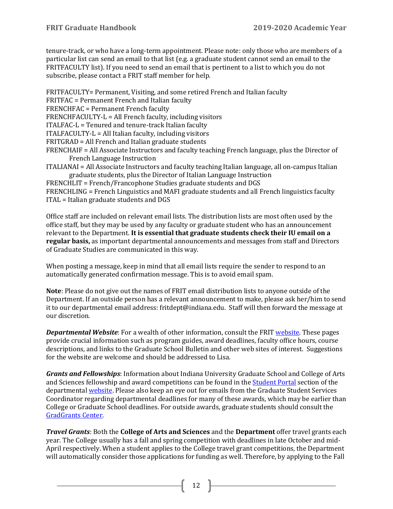tenure-track, or who have a long-term appointment. Please note: only those who are members of a particular list can send an email to that list (e.g. a graduate student cannot send an email to the FRITFACULTY list). If you need to send an email that is pertinent to a list to which you do not subscribe, please contact a FRIT staff member for help.

FRITFACULTY= Permanent, Visiting, and some retired French and Italian faculty FRITFAC = Permanent French and Italian faculty FRENCHFAC = Permanent French faculty FRENCHFACULTY-L = All French faculty, including visitors ITALFAC-L = Tenured and tenure-track Italian faculty ITALFACULTY-L = All Italian faculty, including visitors FRITGRAD = All French and Italian graduate students FRENCHAIF = All Associate Instructors and faculty teaching French language, plus the Director of French Language Instruction ITALIANAI = All Associate Instructors and faculty teaching Italian language, all on-campus Italian graduate students, plus the Director of Italian Language Instruction FRENCHLIT = French/Francophone Studies graduate students and DGS FRENCHLING = French Linguistics and MAFI graduate students and all French linguistics faculty

ITAL = Italian graduate students and DGS

Office staff are included on relevant email lists. The distribution lists are most often used by the office staff, but they may be used by any faculty or graduate student who has an announcement relevant to the Department. **It is essential that graduate students check their IU email on a regular basis,** as important departmental announcements and messages from staff and Directors of Graduate Studies are communicated in this way.

When posting a message, keep in mind that all email lists require the sender to respond to an automatically generated confirmation message. This is to avoid email spam.

**Note**: Please do not give out the names of FRIT email distribution lists to anyone outside of the Department. If an outside person has a relevant announcement to make, please ask her/him to send it to our departmental email address: fritdept@indiana.edu. Staff will then forward the message at our discretion.

*Departmental Website:* For a wealth of other information, consult the FRIT [website.](http://frit.indiana.edu/) These pages provide crucial information such as program guides, award deadlines, faculty office hours, course descriptions, and links to the Graduate School Bulletin and other web sites of interest. Suggestions for the website are welcome and should be addressed to Lisa.

*Grants and Fellowships*: Information about Indiana University Graduate School and College of Arts and Sciences fellowship and award competitions can be found in the [Student Portal](https://frit.indiana.edu/student-portal/index.html) section of the departmenta[l website.](https://frit.indiana.edu/student-portal/graduate/financial-support.html) Please also keep an eye out for emails from the Graduate Student Services Coordinator regarding departmental deadlines for many of these awards, which may be earlier than College or Graduate School deadlines. For outside awards, graduate students should consult the [GradGrants Center.](http://www.indiana.edu/%7Egradgrnt/)

*Travel Grants*: Both the **College of Arts and Sciences** and the **Department** offer travel grants each year. The College usually has a fall and spring competition with deadlines in late October and mid-April respectively. When a student applies to the College travel grant competitions, the Department will automatically consider those applications for funding as well. Therefore, by applying to the Fall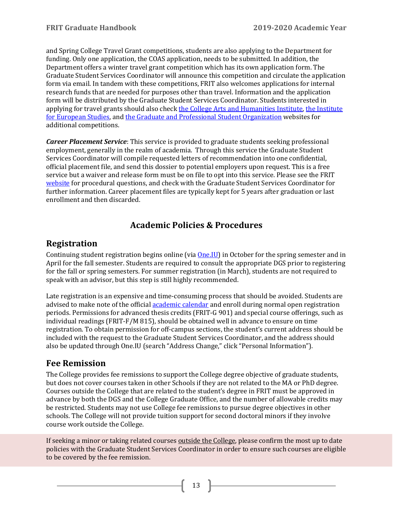and Spring College Travel Grant competitions, students are also applying to the Department for funding. Only one application, the COAS application, needs to be submitted. In addition, the Department offers a winter travel grant competition which has its own application form. The Graduate Student Services Coordinator will announce this competition and circulate the application form via email. In tandem with these competitions, FRIT also welcomes applications for internal research funds that are needed for purposes other than travel. Information and the application form will be distributed by the Graduate Student Services Coordinator. Students interested in applying for travel grants should also chec[k the College Arts and Humanities Institute,](http://www.indiana.edu/%7Ecahi/apply-for-funding/graduate-travel-awards/) [the Institute](https://euro.indiana.edu/)  [for European Studies,](https://euro.indiana.edu/) an[d the Graduate and Professional Student Organization](http://www.indiana.edu/%7Egpso/) websites for additional competitions.

*Career Placement Service*: This service is provided to graduate students seeking professional employment, generally in the realm of academia. Through this service the Graduate Student Services Coordinator will compile requested letters of recommendation into one confidential, official placement file, and send this dossier to potential employers upon request. This is a free service but a waiver and release form must be on file to opt into this service. Please see the FRIT [website](http://frit.indiana.edu/graduate/resources/career.shtml) for procedural questions, and check with the Graduate Student Services Coordinator for further information. Career placement files are typically kept for 5 years after graduation or last enrollment and then discarded.

# **Academic Policies & Procedures**

### <span id="page-12-1"></span><span id="page-12-0"></span>**Registration**

Continuing student registration begins online (via **One.IU)** in October for the spring semester and in April for the fall semester. Students are required to consult the appropriate DGS prior to registering for the fall or spring semesters. For summer registration (in March), students are not required to speak with an advisor, but this step is still highly recommended.

Late registration is an expensive and time-consuming process that should be avoided. Students are advised to make note of the officia[l academic calendar](http://registrar.indiana.edu/official-calendar/official-calendar-fall.shtml) and enroll during normal open registration periods. Permissions for advanced thesis credits (FRIT-G 901) and special course offerings, such as individual readings (FRIT-F/M 815), should be obtained well in advance to ensure on time registration. To obtain permission for off-campus sections, the student's current address should be included with the request to the Graduate Student Services Coordinator, and the address should also be updated through One.IU (search "Address Change," click "Personal Information").

# <span id="page-12-2"></span>**Fee Remission**

The College provides fee remissions to support the College degree objective of graduate students, but does not cover courses taken in other Schools if they are not related to the MA or PhD degree. Courses outside the College that are related to the student's degree in FRIT must be approved in advance by both the DGS and the College Graduate Office, and the number of allowable credits may be restricted. Students may not use College fee remissions to pursue degree objectives in other schools. The College will not provide tuition support for second doctoral minors if they involve course work outside the College.

If seeking a minor or taking related courses outside the College, please confirm the most up to date policies with the Graduate Student Services Coordinator in order to ensure such courses are eligible to be covered by the fee remission.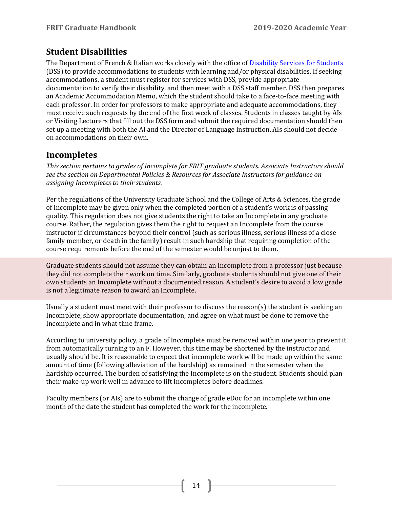# <span id="page-13-0"></span>**Student Disabilities**

The Department of French & Italian works closely with the office of [Disability Services for Students](https://studentaffairs.indiana.edu/disability-services-students/) (DSS) to provide accommodations to students with learning and/or physical disabilities. If seeking accommodations, a student must register for services with DSS, provide appropriate documentation to verify their disability, and then meet with a DSS staff member. DSS then prepares an Academic Accommodation Memo, which the student should take to a face-to-face meeting with each professor. In order for professors to make appropriate and adequate accommodations, they must receive such requests by the end of the first week of classes. Students in classes taught by AIs or Visiting Lecturers that fill out the DSS form and submit the required documentation should then set up a meeting with both the AI and the Director of Language Instruction. AIs should not decide on accommodations on their own.

# <span id="page-13-1"></span>**Incompletes**

*This section pertains to grades of Incomplete for FRIT graduate students. Associate Instructors should see the section on Departmental Policies & Resources for Associate Instructors for guidance on assigning Incompletes to their students.*

Per the regulations of the University Graduate School and the College of Arts & Sciences, the grade of Incomplete may be given only when the completed portion of a student's work is of passing quality. This regulation does not give students the right to take an Incomplete in any graduate course. Rather, the regulation gives them the right to request an Incomplete from the course instructor if circumstances beyond their control (such as serious illness, serious illness of a close family member, or death in the family) result in such hardship that requiring completion of the course requirements before the end of the semester would be unjust to them.

Graduate students should not assume they can obtain an Incomplete from a professor just because they did not complete their work on time. Similarly, graduate students should not give one of their own students an Incomplete without a documented reason. A student's desire to avoid a low grade is not a legitimate reason to award an Incomplete.

Usually a student must meet with their professor to discuss the reason(s) the student is seeking an Incomplete, show appropriate documentation, and agree on what must be done to remove the Incomplete and in what time frame.

According to university policy, a grade of Incomplete must be removed within one year to prevent it from automatically turning to an F. However, this time may be shortened by the instructor and usually should be. It is reasonable to expect that incomplete work will be made up within the same amount of time (following alleviation of the hardship) as remained in the semester when the hardship occurred. The burden of satisfying the Incomplete is on the student. Students should plan their make-up work well in advance to lift Incompletes before deadlines.

Faculty members (or AIs) are to submit the change of grade eDoc for an incomplete within one month of the date the student has completed the work for the incomplete.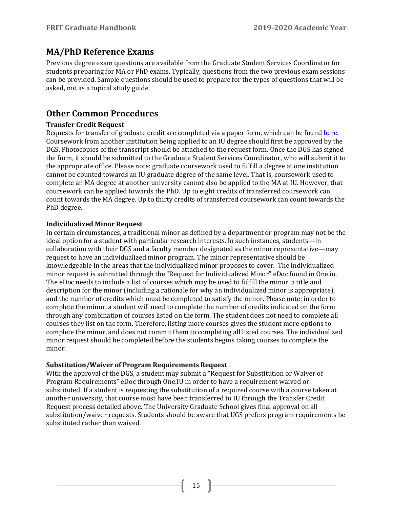## <span id="page-14-0"></span>**MA/PhD Reference Exams**

Previous degree exam questions are available from the Graduate Student Services Coordinator for students preparing for MA or PhD exams. Typically, questions from the two previous exam sessions can be provided. Sample questions should be used to prepare for the types of questions that will be asked, not as a topical study guide.

## <span id="page-14-1"></span>**Other Common Procedures**

#### **Transfer Credit Request**

Requests for transfer of graduate credit are completed via a paper form, which can be found [here.](https://college.indiana.edu/student-portal/graduate-students/forms/index.html) Coursework from another institution being applied to an IU degree should first be approved by the DGS. Photocopies of the transcript should be attached to the request form. Once the DGS has signed the form, it should be submitted to the Graduate Student Services Coordinator, who will submit it to the appropriate office. Please note: graduate coursework used to fulfill a degree at one institution cannot be counted towards an IU graduate degree of the same level. That is, coursework used to complete an MA degree at another university cannot also be applied to the MA at IU. However, that coursework can be applied towards the PhD. Up to eight credits of transferred coursework can count towards the MA degree. Up to thirty credits of transferred coursework can count towards the PhD degree.

#### **Individualized Minor Request**

In certain circumstances, a traditional minor as defined by a department or program may not be the ideal option for a student with particular research interests. In such instances, students—in collaboration with their DGS and a faculty member designated as the minor representative—may request to have an individualized minor program. The minor representative should be knowledgeable in the areas that the individualized minor proposes to cover. The individualized minor request is submitted through the "Request for Individualized Minor" eDoc found in One.iu. The eDoc needs to include a list of courses which may be used to fulfill the minor, a title and description for the minor (including a rationale for why an individualized minor is appropriate), and the number of credits which must be completed to satisfy the minor. Please note: in order to complete the minor, a student will need to complete the number of credits indicated on the form through any combination of courses listed on the form. The student does not need to complete all courses they list on the form. Therefore, listing more courses gives the student more options to complete the minor, and does not commit them to completing all listed courses. The individualized minor request should be completed before the students begins taking courses to complete the minor.

#### **Substitution/Waiver of Program Requirements Request**

With the approval of the DGS, a student may submit a "Request for Substitution or Waiver of Program Requirements" eDoc through One.IU in order to have a requirement waived or substituted. If a student is requesting the substitution of a required course with a course taken at another university, that course must have been transferred to IU through the Transfer Credit Request process detailed above. The University Graduate School gives final approval on all substitution/waiver requests. Students should be aware that UGS prefers program requirements be substituted rather than waived.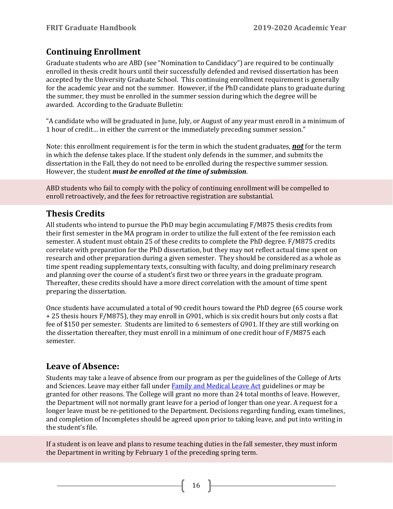# <span id="page-15-0"></span>**Continuing Enrollment**

Graduate students who are ABD (see "Nomination to Candidacy") are required to be continually enrolled in thesis credit hours until their successfully defended and revised dissertation has been accepted by the University Graduate School. This continuing enrollment requirement is generally for the academic year and not the summer. However, if the PhD candidate plans to graduate during the summer, they must be enrolled in the summer session during which the degree will be awarded. According to the Graduate Bulletin:

"A candidate who will be graduated in June, July, or August of any year must enroll in a minimum of 1 hour of credit… in either the current or the immediately preceding summer session."

Note: this enrollment requirement is for the term in which the student graduates, *not* for the term in which the defense takes place. If the student only defends in the summer, and submits the dissertation in the Fall, they do not need to be enrolled during the respective summer session. However, the student *must be enrolled at the time of submission*.

ABD students who fail to comply with the policy of continuing enrollment will be compelled to enroll retroactively, and the fees for retroactive registration are substantial.

# <span id="page-15-1"></span>**Thesis Credits**

All students who intend to pursue the PhD may begin accumulating F/M875 thesis credits from their first semester in the MA program in order to utilize the full extent of the fee remission each semester. A student must obtain 25 of these credits to complete the PhD degree. F/M875 credits correlate with preparation for the PhD dissertation, but they may not reflect actual time spent on research and other preparation during a given semester. They should be considered as a whole as time spent reading supplementary texts, consulting with faculty, and doing preliminary research and planning over the course of a student's first two or three years in the graduate program. Thereafter, these credits should have a more direct correlation with the amount of time spent preparing the dissertation.

Once students have accumulated a total of 90 credit hours toward the PhD degree (65 course work + 25 thesis hours F/M875), they may enroll in G901, which is six credit hours but only costs a flat fee of \$150 per semester. Students are limited to 6 semesters of G901. If they are still working on the dissertation thereafter, they must enroll in a minimum of one credit hour of F/M875 each semester.

# <span id="page-15-2"></span>**Leave of Absence:**

Students may take a leave of absence from our program as per the guidelines of the College of Arts and Sciences. Leave may either fall unde[r Family and Medical Leave Act](http://hr.iu.edu/relations/fmla_index.html) guidelines or may be granted for other reasons. The College will grant no more than 24 total months of leave. However, the Department will not normally grant leave for a period of longer than one year. A request for a longer leave must be re-petitioned to the Department. Decisions regarding funding, exam timelines, and completion of Incompletes should be agreed upon prior to taking leave, and put into writing in the student's file.

If a student is on leave and plans to resume teaching duties in the fall semester, they must inform the Department in writing by February 1 of the preceding spring term.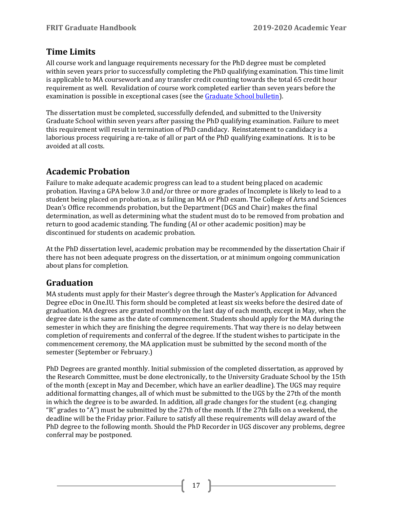# <span id="page-16-0"></span>**Time Limits**

All course work and language requirements necessary for the PhD degree must be completed within seven years prior to successfully completing the PhD qualifying examination. This time limit is applicable to MA coursework and any transfer credit counting towards the total 65 credit hour requirement as well. Revalidation of course work completed earlier than seven years before the examination is possible in exceptional cases (see th[e Graduate School bulletin\)](https://bulletins.iu.edu/iub/).

The dissertation must be completed, successfully defended, and submitted to the University Graduate School within seven years after passing the PhD qualifying examination. Failure to meet this requirement will result in termination of PhD candidacy. Reinstatement to candidacy is a laborious process requiring a re-take of all or part of the PhD qualifying examinations. It is to be avoided at all costs.

# <span id="page-16-1"></span>**Academic Probation**

Failure to make adequate academic progress can lead to a student being placed on academic probation. Having a GPA below 3.0 and/or three or more grades of Incomplete is likely to lead to a student being placed on probation, as is failing an MA or PhD exam. The College of Arts and Sciences Dean's Office recommends probation, but the Department (DGS and Chair) makes the final determination, as well as determining what the student must do to be removed from probation and return to good academic standing. The funding (AI or other academic position) may be discontinued for students on academic probation.

At the PhD dissertation level, academic probation may be recommended by the dissertation Chair if there has not been adequate progress on the dissertation, or at minimum ongoing communication about plans for completion.

# <span id="page-16-2"></span>**Graduation**

MA students must apply for their Master's degree through the Master's Application for Advanced Degree eDoc in One.IU. This form should be completed at least six weeks before the desired date of graduation. MA degrees are granted monthly on the last day of each month, except in May, when the degree date is the same as the date of commencement. Students should apply for the MA during the semester in which they are finishing the degree requirements. That way there is no delay between completion of requirements and conferral of the degree. If the student wishes to participate in the commencement ceremony, the MA application must be submitted by the second month of the semester (September or February.)

PhD Degrees are granted monthly. Initial submission of the completed dissertation, as approved by the Research Committee, must be done electronically, to the University Graduate School by the 15th of the month (except in May and December, which have an earlier deadline). The UGS may require additional formatting changes, all of which must be submitted to the UGS by the 27th of the month in which the degree is to be awarded. In addition, all grade changes for the student (e.g. changing "R" grades to "A") must be submitted by the 27th of the month. If the 27th falls on a weekend, the deadline will be the Friday prior. Failure to satisfy all these requirements will delay award of the PhD degree to the following month. Should the PhD Recorder in UGS discover any problems, degree conferral may be postponed.

 $17$  ]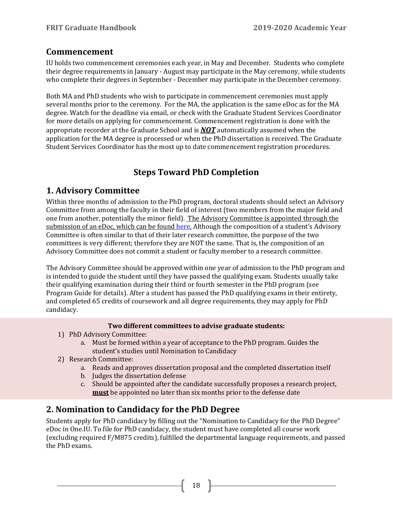### <span id="page-17-0"></span>**Commencement**

IU holds two commencement ceremonies each year, in May and December. Students who complete their degree requirements in January - August may participate in the May ceremony, while students who complete their degrees in September - December may participate in the December ceremony.

Both MA and PhD students who wish to participate in commencement ceremonies must apply several months prior to the ceremony. For the MA, the application is the same eDoc as for the MA degree. Watch for the deadline via email, or check with the Graduate Student Services Coordinator for more details on applying for commencement. Commencement registration is done with the appropriate recorder at the Graduate School and is *NOT* automatically assumed when the application for the MA degree is processed or when the PhD dissertation is received. The Graduate Student Services Coordinator has the most up to date commencement registration procedures.

# **Steps Toward PhD Completion**

# <span id="page-17-2"></span><span id="page-17-1"></span>**1. Advisory Committee**

Within three months of admission to the PhD program, doctoral students should select an Advisory Committee from among the faculty in their field of interest (two members from the major field and one from another, potentially the minor field). The Advisory Committee is appointed through the submission of an eDoc, which can be found [here.](https://college.indiana.edu/student-portal/graduate-students/academic-procedures/index.html) Although the composition of a student's Advisory Committee is often similar to that of their later research committee, the purpose of the two committees is very different; therefore they are NOT the same. That is, the composition of an Advisory Committee does not commit a student or faculty member to a research committee.

The Advisory Committee should be approved within one year of admission to the PhD program and is intended to guide the student until they have passed the qualifying exam. Students usually take their qualifying examination during their third or fourth semester in the PhD program (see Program Guide for details). After a student has passed the PhD qualifying exams in their entirety, and completed 65 credits of coursework and all degree requirements, they may apply for PhD candidacy.

#### **Two different committees to advise graduate students:**

- 1) PhD Advisory Committee:
	- a. Must be formed within a year of acceptance to the PhD program. Guides the student's studies until Nomination to Candidacy
- 2) Research Committee:
	- a. Reads and approves dissertation proposal and the completed dissertation itself
	- b. Judges the dissertation defense
	- c. Should be appointed after the candidate successfully proposes a research project, **must** be appointed no later than six months prior to the defense date

# <span id="page-17-3"></span>**2. Nomination to Candidacy for the PhD Degree**

Students apply for PhD candidacy by filling out the "Nomination to Candidacy for the PhD Degree" eDoc in One.IU. To file for PhD candidacy, the student must have completed all course work (excluding required F/M875 credits), fulfilled the departmental language requirements, and passed the PhD exams.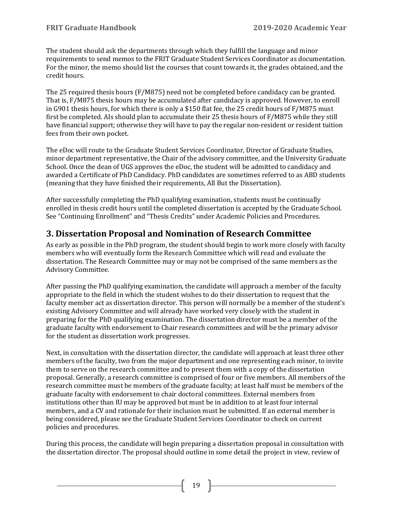The student should ask the departments through which they fulfill the language and minor requirements to send memos to the FRIT Graduate Student Services Coordinator as documentation. For the minor, the memo should list the courses that count towards it, the grades obtained, and the credit hours.

The 25 required thesis hours (F/M875) need not be completed before candidacy can be granted. That is, F/M875 thesis hours may be accumulated after candidacy is approved. However, to enroll in G901 thesis hours, for which there is only a \$150 flat fee, the 25 credit hours of F/M875 must first be completed. AIs should plan to accumulate their 25 thesis hours of F/M875 while they still have financial support; otherwise they will have to pay the regular non-resident or resident tuition fees from their own pocket.

The eDoc will route to the Graduate Student Services Coordinator, Director of Graduate Studies, minor department representative, the Chair of the advisory committee, and the University Graduate School. Once the dean of UGS approves the eDoc, the student will be admitted to candidacy and awarded a Certificate of PhD Candidacy. PhD candidates are sometimes referred to as ABD students (meaning that they have finished their requirements, All But the Dissertation).

After successfully completing the PhD qualifying examination, students must be continually enrolled in thesis credit hours until the completed dissertation is accepted by the Graduate School. See "Continuing Enrollment" and "Thesis Credits" under Academic Policies and Procedures.

# <span id="page-18-0"></span>**3. Dissertation Proposal and Nomination of Research Committee**

As early as possible in the PhD program, the student should begin to work more closely with faculty members who will eventually form the Research Committee which will read and evaluate the dissertation. The Research Committee may or may not be comprised of the same members as the Advisory Committee.

After passing the PhD qualifying examination, the candidate will approach a member of the faculty appropriate to the field in which the student wishes to do their dissertation to request that the faculty member act as dissertation director. This person will normally be a member of the student's existing Advisory Committee and will already have worked very closely with the student in preparing for the PhD qualifying examination. The dissertation director must be a member of the graduate faculty with endorsement to Chair research committees and will be the primary advisor for the student as dissertation work progresses.

Next, in consultation with the dissertation director, the candidate will approach at least three other members of the faculty, two from the major department and one representing each minor, to invite them to serve on the research committee and to present them with a copy of the dissertation proposal. Generally, a research committee is comprised of four or five members. All members of the research committee must be members of the graduate faculty; at least half must be members of the graduate faculty with endorsement to chair doctoral committees. External members from institutions other than IU may be approved but must be in addition to at least four internal members, and a CV and rationale for their inclusion must be submitted. If an external member is being considered, please see the Graduate Student Services Coordinator to check on current policies and procedures.

During this process, the candidate will begin preparing a dissertation proposal in consultation with the dissertation director. The proposal should outline in some detail the project in view, review of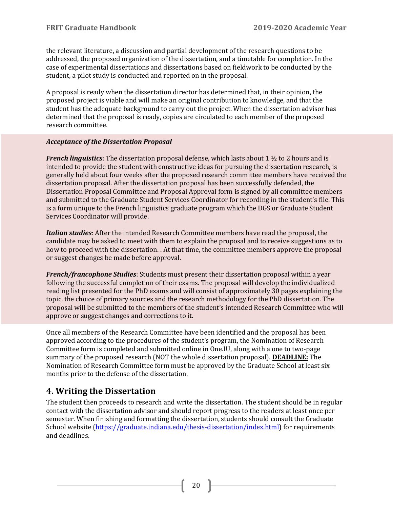the relevant literature, a discussion and partial development of the research questions to be addressed, the proposed organization of the dissertation, and a timetable for completion. In the case of experimental dissertations and dissertations based on fieldwork to be conducted by the student, a pilot study is conducted and reported on in the proposal.

A proposal is ready when the dissertation director has determined that, in their opinion, the proposed project is viable and will make an original contribution to knowledge, and that the student has the adequate background to carry out the project. When the dissertation advisor has determined that the proposal is ready, copies are circulated to each member of the proposed research committee.

#### *Acceptance of the Dissertation Proposal*

*French linguistics*: The dissertation proposal defense, which lasts about 1 ½ to 2 hours and is intended to provide the student with constructive ideas for pursuing the dissertation research, is generally held about four weeks after the proposed research committee members have received the dissertation proposal. After the dissertation proposal has been successfully defended, the Dissertation Proposal Committee and Proposal Approval form is signed by all committee members and submitted to the Graduate Student Services Coordinator for recording in the student's file. This is a form unique to the French linguistics graduate program which the DGS or Graduate Student Services Coordinator will provide.

*Italian studies*: After the intended Research Committee members have read the proposal, the candidate may be asked to meet with them to explain the proposal and to receive suggestions as to how to proceed with the dissertation. . At that time, the committee members approve the proposal or suggest changes be made before approval.

*French/francophone Studies*: Students must present their dissertation proposal within a year following the successful completion of their exams. The proposal will develop the individualized reading list presented for the PhD exams and will consist of approximately 30 pages explaining the topic, the choice of primary sources and the research methodology for the PhD dissertation. The proposal will be submitted to the members of the student's intended Research Committee who will approve or suggest changes and corrections to it.

Once all members of the Research Committee have been identified and the proposal has been approved according to the procedures of the student's program, the Nomination of Research Committee form is completed and submitted online in One.IU, along with a one to two-page summary of the proposed research (NOT the whole dissertation proposal). **DEADLINE:** The Nomination of Research Committee form must be approved by the Graduate School at least six months prior to the defense of the dissertation.

# <span id="page-19-0"></span>**4. Writing the Dissertation**

The student then proceeds to research and write the dissertation. The student should be in regular contact with the dissertation advisor and should report progress to the readers at least once per semester. When finishing and formatting the dissertation, students should consult the Graduate School website [\(https://graduate.indiana.edu/thesis-dissertation/index.html\)](https://graduate.indiana.edu/thesis-dissertation/index.html) for requirements and deadlines.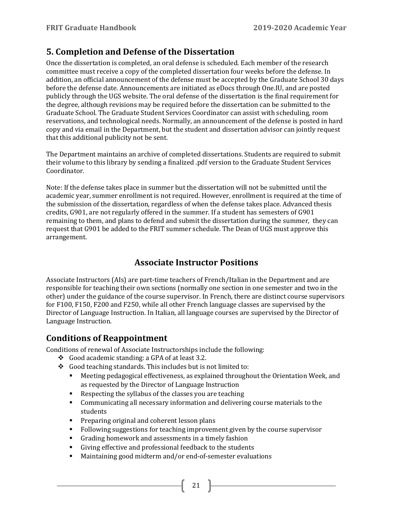# <span id="page-20-0"></span>**5. Completion and Defense of the Dissertation**

Once the dissertation is completed, an oral defense is scheduled. Each member of the research committee must receive a copy of the completed dissertation four weeks before the defense. In addition, an official announcement of the defense must be accepted by the Graduate School 30 days before the defense date. Announcements are initiated as eDocs through One.IU, and are posted publicly through the UGS website. The oral defense of the dissertation is the final requirement for the degree, although revisions may be required before the dissertation can be submitted to the Graduate School. The Graduate Student Services Coordinator can assist with scheduling, room reservations, and technological needs. Normally, an announcement of the defense is posted in hard copy and via email in the Department, but the student and dissertation advisor can jointly request that this additional publicity not be sent.

The Department maintains an archive of completed dissertations. Students are required to submit their volume to this library by sending a finalized .pdf version to the Graduate Student Services Coordinator.

Note: If the defense takes place in summer but the dissertation will not be submitted until the academic year, summer enrollment is not required. However, enrollment is required at the time of the submission of the dissertation, regardless of when the defense takes place. Advanced thesis credits, G901, are not regularly offered in the summer. If a student has semesters of G901 remaining to them, and plans to defend and submit the dissertation during the summer, they can request that G901 be added to the FRIT summer schedule. The Dean of UGS must approve this arrangement.

# **Associate Instructor Positions**

<span id="page-20-1"></span>Associate Instructors (AIs) are part-time teachers of French/Italian in the Department and are responsible for teaching their own sections (normally one section in one semester and two in the other) under the guidance of the course supervisor. In French, there are distinct course supervisors for F100, F150, F200 and F250, while all other French language classes are supervised by the Director of Language Instruction. In Italian, all language courses are supervised by the Director of Language Instruction.

# <span id="page-20-2"></span>**Conditions of Reappointment**

Conditions of renewal of Associate Instructorships include the following:

- Good academic standing: a GPA of at least 3.2.
- Good teaching standards. This includes but is not limited to:<br>Meeting pedagogical effectiveness, as explained through
	- Meeting pedagogical effectiveness, as explained throughout the Orientation Week, and as requested by the Director of Language Instruction
	- Respecting the syllabus of the classes you are teaching
	- Communicating all necessary information and delivering course materials to the students
	- **Preparing original and coherent lesson plans**
	- Following suggestions for teaching improvement given by the course supervisor<br>Following homework and assessments in a timely fashion

- Grading homework and assessments in a timely fashion
- Giving effective and professional feedback to the students
- Maintaining good midterm and/or end-of-semester evaluations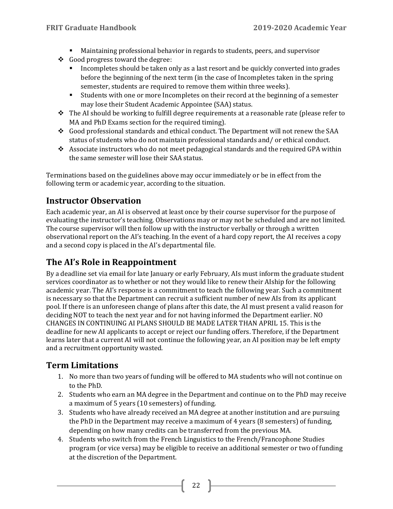- Maintaining professional behavior in regards to students, peers, and supervisor
- Good progress toward the degree:
	- Incompletes should be taken only as a last resort and be quickly converted into grades before the beginning of the next term (in the case of Incompletes taken in the spring semester, students are required to remove them within three weeks).
	- Students with one or more Incompletes on their record at the beginning of a semester may lose their Student Academic Appointee (SAA) status.
- $\div$  The AI should be working to fulfill degree requirements at a reasonable rate (please refer to MA and PhD Exams section for the required timing).
- Good professional standards and ethical conduct. The Department will not renew the SAA status of students who do not maintain professional standards and/ or ethical conduct.
- Associate instructors who do not meet pedagogical standards and the required GPA within the same semester will lose their SAA status.

Terminations based on the guidelines above may occur immediately or be in effect from the following term or academic year, according to the situation.

# <span id="page-21-0"></span>**Instructor Observation**

Each academic year, an AI is observed at least once by their course supervisor for the purpose of evaluating the instructor's teaching. Observations may or may not be scheduled and are not limited. The course supervisor will then follow up with the instructor verbally or through a written observational report on the AI's teaching. In the event of a hard copy report, the AI receives a copy and a second copy is placed in the AI's departmental file.

# <span id="page-21-1"></span>**The AI's Role in Reappointment**

By a deadline set via email for late January or early February, AIs must inform the graduate student services coordinator as to whether or not they would like to renew their AIship for the following academic year. The AI's response is a commitment to teach the following year. Such a commitment is necessary so that the Department can recruit a sufficient number of new AIs from its applicant pool. If there is an unforeseen change of plans after this date, the AI must present a valid reason for deciding NOT to teach the next year and for not having informed the Department earlier. NO CHANGES IN CONTINUING AI PLANS SHOULD BE MADE LATER THAN APRIL 15. This is the deadline for new AI applicants to accept or reject our funding offers. Therefore, if the Department learns later that a current AI will not continue the following year, an AI position may be left empty and a recruitment opportunity wasted.

# <span id="page-21-2"></span>**Term Limitations**

- 1. No more than two years of funding will be offered to MA students who will not continue on to the PhD.
- 2. Students who earn an MA degree in the Department and continue on to the PhD may receive a maximum of 5 years (10 semesters) of funding.
- 3. Students who have already received an MA degree at another institution and are pursuing the PhD in the Department may receive a maximum of 4 years (8 semesters) of funding, depending on how many credits can be transferred from the previous MA.
- 4. Students who switch from the French Linguistics to the French/Francophone Studies program (or vice versa) may be eligible to receive an additional semester or two of funding at the discretion of the Department.

 $\begin{bmatrix} 22 \end{bmatrix}$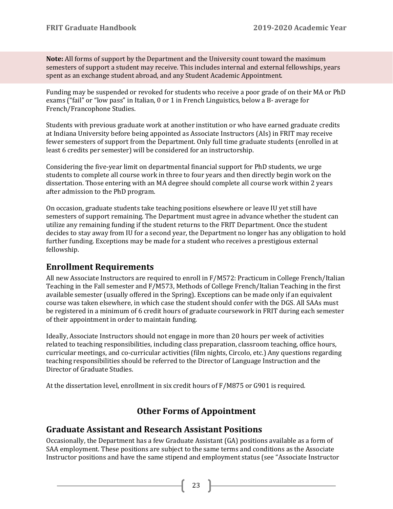**Note:** All forms of support by the Department and the University count toward the maximum semesters of support a student may receive. This includes internal and external fellowships, years spent as an exchange student abroad, and any Student Academic Appointment.

Funding may be suspended or revoked for students who receive a poor grade of on their MA or PhD exams ("fail" or "low pass" in Italian, 0 or 1 in French Linguistics, below a B- average for French/Francophone Studies.

Students with previous graduate work at another institution or who have earned graduate credits at Indiana University before being appointed as Associate Instructors (AIs) in FRIT may receive fewer semesters of support from the Department. Only full time graduate students (enrolled in at least 6 credits per semester) will be considered for an instructorship.

Considering the five-year limit on departmental financial support for PhD students, we urge students to complete all course work in three to four years and then directly begin work on the dissertation. Those entering with an MA degree should complete all course work within 2 years after admission to the PhD program.

On occasion, graduate students take teaching positions elsewhere or leave IU yet still have semesters of support remaining. The Department must agree in advance whether the student can utilize any remaining funding if the student returns to the FRIT Department. Once the student decides to stay away from IU for a second year, the Department no longer has any obligation to hold further funding. Exceptions may be made for a student who receives a prestigious external fellowship.

# <span id="page-22-0"></span>**Enrollment Requirements**

All new Associate Instructors are required to enroll in F/M572: Practicum in College French/Italian Teaching in the Fall semester and F/M573, Methods of College French/Italian Teaching in the first available semester (usually offered in the Spring). Exceptions can be made only if an equivalent course was taken elsewhere, in which case the student should confer with the DGS. All SAAs must be registered in a minimum of 6 credit hours of graduate coursework in FRIT during each semester of their appointment in order to maintain funding.

Ideally, Associate Instructors should not engage in more than 20 hours per week of activities related to teaching responsibilities, including class preparation, classroom teaching, office hours, curricular meetings, and co-curricular activities (film nights, Circolo, etc.) Any questions regarding teaching responsibilities should be referred to the Director of Language Instruction and the Director of Graduate Studies.

<span id="page-22-1"></span>At the dissertation level, enrollment in six credit hours of F/M875 or G901 is required.

# **Other Forms of Appointment**

### <span id="page-22-2"></span>**Graduate Assistant and Research Assistant Positions**

Occasionally, the Department has a few Graduate Assistant (GA) positions available as a form of SAA employment. These positions are subject to the same terms and conditions as the Associate Instructor positions and have the same stipend and employment status (see "Associate Instructor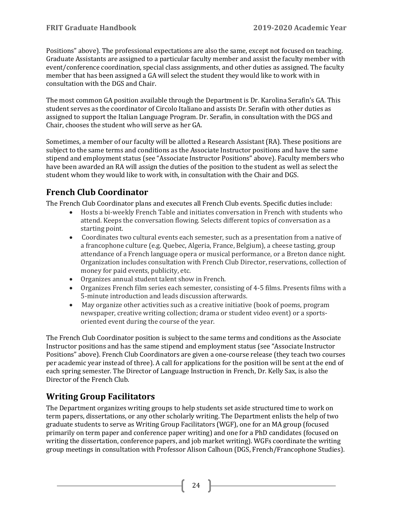Positions" above). The professional expectations are also the same, except not focused on teaching. Graduate Assistants are assigned to a particular faculty member and assist the faculty member with event/conference coordination, special class assignments, and other duties as assigned. The faculty member that has been assigned a GA will select the student they would like to work with in consultation with the DGS and Chair.

The most common GA position available through the Department is Dr. Karolina Serafin's GA. This student serves as the coordinator of Circolo Italiano and assists Dr. Serafin with other duties as assigned to support the Italian Language Program. Dr. Serafin, in consultation with the DGS and Chair, chooses the student who will serve as her GA.

Sometimes, a member of our faculty will be allotted a Research Assistant (RA). These positions are subject to the same terms and conditions as the Associate Instructor positions and have the same stipend and employment status (see "Associate Instructor Positions" above). Faculty members who have been awarded an RA will assign the duties of the position to the student as well as select the student whom they would like to work with, in consultation with the Chair and DGS.

# <span id="page-23-0"></span>**French Club Coordinator**

The French Club Coordinator plans and executes all French Club events. Specific duties include:

- Hosts a bi-weekly French Table and initiates conversation in French with students who attend. Keeps the conversation flowing. Selects different topics of conversation as a starting point.
- Coordinates two cultural events each semester, such as a presentation from a native of a francophone culture (e.g. Quebec, Algeria, France, Belgium), a cheese tasting, group attendance of a French language opera or musical performance, or a Breton dance night. Organization includes consultation with French Club Director, reservations, collection of money for paid events, publicity, etc.
- Organizes annual student talent show in French.
- Organizes French film series each semester, consisting of 4-5 films. Presents films with a 5-minute introduction and leads discussion afterwards.
- May organize other activities such as a creative initiative (book of poems, program newspaper, creative writing collection; drama or student video event) or a sportsoriented event during the course of the year.

The French Club Coordinator position is subject to the same terms and conditions as the Associate Instructor positions and has the same stipend and employment status (see "Associate Instructor Positions" above). French Club Coordinators are given a one-course release (they teach two courses per academic year instead of three). A call for applications for the position will be sent at the end of each spring semester. The Director of Language Instruction in French, Dr. Kelly Sax, is also the Director of the French Club.

# <span id="page-23-1"></span>**Writing Group Facilitators**

The Department organizes writing groups to help students set aside structured time to work on term papers, dissertations, or any other scholarly writing. The Department enlists the help of two graduate students to serve as Writing Group Facilitators (WGF), one for an MA group (focused primarily on term paper and conference paper writing) and one for a PhD candidates (focused on writing the dissertation, conference papers, and job market writing). WGFs coordinate the writing group meetings in consultation with Professor Alison Calhoun (DGS, French/Francophone Studies).

24  $\vert$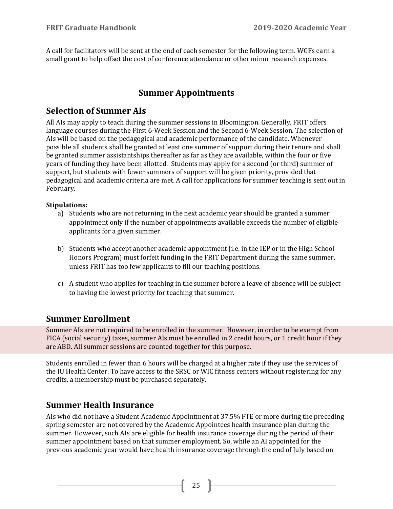A call for facilitators will be sent at the end of each semester for the following term. WGFs earn a small grant to help offset the cost of conference attendance or other minor research expenses.

# **Summer Appointments**

# <span id="page-24-1"></span><span id="page-24-0"></span>**Selection of Summer AIs**

All AIs may apply to teach during the summer sessions in Bloomington. Generally, FRIT offers language courses during the First 6-Week Session and the Second 6-Week Session. The selection of AIs will be based on the pedagogical and academic performance of the candidate. Whenever possible all students shall be granted at least one summer of support during their tenure and shall be granted summer assistantships thereafter as far as they are available, within the four or five years of funding they have been allotted. Students may apply for a second (or third) summer of support, but students with fewer summers of support will be given priority, provided that pedagogical and academic criteria are met. A call for applications for summer teaching is sent out in February.

#### **Stipulations:**

- a) Students who are not returning in the next academic year should be granted a summer appointment only if the number of appointments available exceeds the number of eligible applicants for a given summer.
- b) Students who accept another academic appointment (i.e. in the IEP or in the High School Honors Program) must forfeit funding in the FRIT Department during the same summer, unless FRIT has too few applicants to fill our teaching positions.
- c) A student who applies for teaching in the summer before a leave of absence will be subject to having the lowest priority for teaching that summer.

# <span id="page-24-2"></span>**Summer Enrollment**

Summer AIs are not required to be enrolled in the summer. However, in order to be exempt from FICA (social security) taxes, summer AIs must be enrolled in 2 credit hours, or 1 credit hour if they are ABD. All summer sessions are counted together for this purpose.

Students enrolled in fewer than 6 hours will be charged at a higher rate if they use the services of the IU Health Center. To have access to the SRSC or WIC fitness centers without registering for any credits, a membership must be purchased separately.

# <span id="page-24-3"></span>**Summer Health Insurance**

AIs who did not have a Student Academic Appointment at 37.5% FTE or more during the preceding spring semester are not covered by the Academic Appointees health insurance plan during the summer. However, such AIs are eligible for health insurance coverage during the period of their summer appointment based on that summer employment. So, while an AI appointed for the previous academic year would have health insurance coverage through the end of July based on

 $\begin{bmatrix} 25 \end{bmatrix}$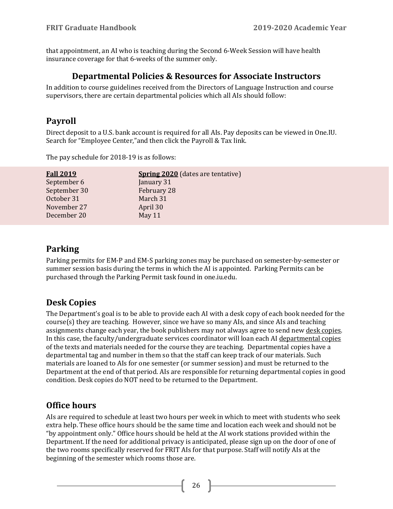<span id="page-25-0"></span>that appointment, an AI who is teaching during the Second 6-Week Session will have health insurance coverage for that 6-weeks of the summer only.

#### **Departmental Policies & Resources for Associate Instructors**

In addition to course guidelines received from the Directors of Language Instruction and course supervisors, there are certain departmental policies which all AIs should follow:

# <span id="page-25-1"></span>**Payroll**

Direct deposit to a U.S. bank account is required for all AIs. Pay deposits can be viewed in One.IU. Search for "Employee Center,"and then click the Payroll & Tax link.

The pay schedule for 2018-19 is as follows:

| <b>Fall 2019</b> | <b>Spring 2020</b> (dates are tentative) |
|------------------|------------------------------------------|
| September 6      | January 31                               |
| September 30     | February 28                              |
| October 31       | March 31                                 |
| November 27      | April 30                                 |
| December 20      | May 11                                   |

# <span id="page-25-2"></span>**Parking**

Parking permits for EM-P and EM-S parking zones may be purchased on semester-by-semester or summer session basis during the terms in which the AI is appointed. Parking Permits can be purchased through the Parking Permit task found in one.iu.edu.

# <span id="page-25-3"></span>**Desk Copies**

The Department's goal is to be able to provide each AI with a desk copy of each book needed for the  $course(s)$  they are teaching. However, since we have so many AIs, and since AIs and teaching assignments change each year, the book publishers may not always agree to send new desk copies. In this case, the faculty/undergraduate services coordinator will loan each AI departmental copies of the texts and materials needed for the course they are teaching. Departmental copies have a departmental tag and number in them so that the staff can keep track of our materials. Such materials are loaned to AIs for one semester (or summer session) and must be returned to the Department at the end of that period. AIs are responsible for returning departmental copies in good condition. Desk copies do NOT need to be returned to the Department.

# <span id="page-25-4"></span>**Office hours**

AIs are required to schedule at least two hours per week in which to meet with students who seek extra help. These office hours should be the same time and location each week and should not be "by appointment only." Office hours should be held at the AI work stations provided within the Department. If the need for additional privacy is anticipated, please sign up on the door of one of the two rooms specifically reserved for FRIT AIs for that purpose. Staff will notify AIs at the beginning of the semester which rooms those are.

26 }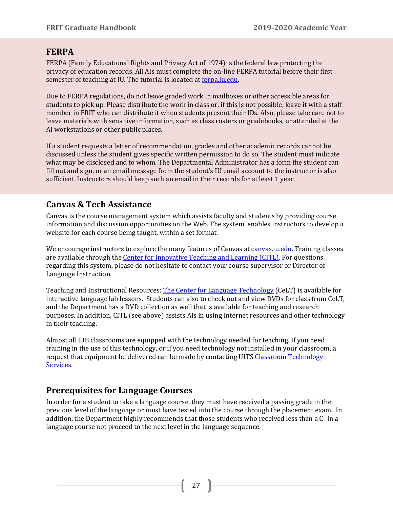#### <span id="page-26-0"></span>**FERPA**

FERPA (Family Educational Rights and Privacy Act of 1974) is the federal law protecting the privacy of education records. All AIs must complete the on-line FERPA tutorial before their first semester of teaching at IU. The tutorial is located at [ferpa.iu.edu.](https://ferpa.iu.edu/?casticket=ST-73526-4dscid949SnpDj3OaK9Hcasprd05)

Due to FERPA regulations, do not leave graded work in mailboxes or other accessible areas for students to pick up. Please distribute the work in class or, if this is not possible, leave it with a staff member in FRIT who can distribute it when students present their IDs. Also, please take care not to leave materials with sensitive information, such as class rosters or gradebooks, unattended at the AI workstations or other public places.

If a student requests a letter of recommendation, grades and other academic records cannot be discussed unless the student gives specific written permission to do so. The student must indicate what may be disclosed and to whom. The Departmental Administrator has a form the student can fill out and sign, or an email message from the student's IU email account to the instructor is also sufficient. Instructors should keep such an email in their records for at least 1 year.

### <span id="page-26-1"></span>**Canvas & Tech Assistance**

Canvas is the course management system which assists faculty and students by providing course information and discussion opportunities on the Web. The system enables instructors to develop a website for each course being taught, within a set format.

We encourage instructors to explore the many features of Canvas a[t canvas.iu.edu.](http://canvas.iu.edu/) Training classes are available through the [Center for Innovative Teaching and Learning](https://citl.indiana.edu/events/) (CITL). For questions regarding this system, please do not hesitate to contact your course supervisor or Director of Language Instruction.

Teaching and Instructional Resources: [The Center for Language Technology](http://celt.indiana.edu/) (CeLT) is available for interactive language lab lessons. Students can also to check out and view DVDs for class from CeLT, and the Department has a DVD collection as well that is available for teaching and research purposes. In addition, CITL (see above) assists AIs in using Internet resources and other technology in their teaching.

Almost all IUB classrooms are equipped with the technology needed for teaching. If you need training in the use of this technology, or if you need technology not installed in your classroom, a request that equipment be delivered can be made by contacting UITS Classroom Technology [Services.](http://indiana.edu/%7Ects/)

### <span id="page-26-2"></span>**Prerequisites for Language Courses**

In order for a student to take a language course, they must have received a passing grade in the previous level of the language or must have tested into the course through the placement exam. In addition, the Department highly recommends that those students who received less than a C- in a language course not proceed to the next level in the language sequence.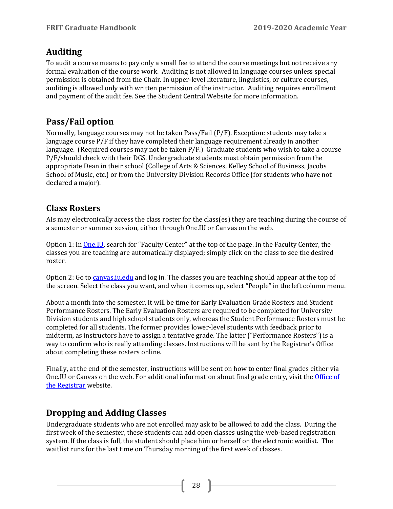# <span id="page-27-0"></span>**Auditing**

To audit a course means to pay only a small fee to attend the course meetings but not receive any formal evaluation of the course work. Auditing is not allowed in language courses unless special permission is obtained from the Chair. In upper-level literature, linguistics, or culture courses, auditing is allowed only with written permission of the instructor. Auditing requires enrollment and payment of the audit fee. See the Student Central Website for more information.

# <span id="page-27-1"></span>**Pass/Fail option**

Normally, language courses may not be taken Pass/Fail (P/F). Exception: students may take a language course P/F if they have completed their language requirement already in another language. (Required courses may not be taken P/F.) Graduate students who wish to take a course P/F/should check with their DGS. Undergraduate students must obtain permission from the appropriate Dean in their school (College of Arts & Sciences, Kelley School of Business, Jacobs School of Music, etc.) or from the University Division Records Office (for students who have not declared a major).

# <span id="page-27-2"></span>**Class Rosters**

AIs may electronically access the class roster for the class(es) they are teaching during the course of a semester or summer session, either through One.IU or Canvas on the web.

Option 1: In [One.IU,](file://bl-cito-fs.ads.iu.edu/files/collafs/FRIT/Graduate%20Studies/Guides%20&%20Manuals/Program%20Guides/2019-20/one.iu.edu) search for "Faculty Center" at the top of the page. In the Faculty Center, the classes you are teaching are automatically displayed; simply click on the class to see the desired roster.

Option 2: Go to [canvas.iu.edu](file://bl-cito-fs.ads.iu.edu/files/collafs/FRIT/Graduate%20Studies/Guides%20&%20Manuals/Program%20Guides/2019-20/canvas.iu.edu) and log in. The classes you are teaching should appear at the top of the screen. Select the class you want, and when it comes up, select "People" in the left column menu.

About a month into the semester, it will be time for Early Evaluation Grade Rosters and Student Performance Rosters. The Early Evaluation Rosters are required to be completed for University Division students and high school students only, whereas the Student Performance Rosters must be completed for all students. The former provides lower-level students with feedback prior to midterm, as instructors have to assign a tentative grade. The latter ("Performance Rosters") is a way to confirm who is really attending classes. Instructions will be sent by the Registrar's Office about completing these rosters online.

Finally, at the end of the semester, instructions will be sent on how to enter final grades either via One.IU or Canvas on the web. For additional information about final grade entry, visit the [Office of](https://registrar.indiana.edu/)  [the Registrar](https://registrar.indiana.edu/) website.

# <span id="page-27-3"></span>**Dropping and Adding Classes**

Undergraduate students who are not enrolled may ask to be allowed to add the class. During the first week of the semester, these students can add open classes using the web-based registration system. If the class is full, the student should place him or herself on the electronic waitlist. The waitlist runs for the last time on Thursday morning of the first week of classes.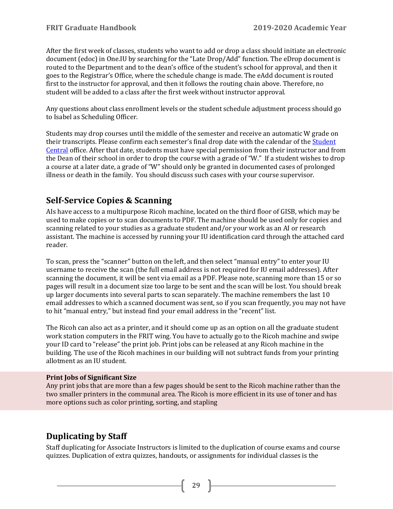After the first week of classes, students who want to add or drop a class should initiate an electronic document (edoc) in One.IU by searching for the "Late Drop/Add" function. The eDrop document is routed to the Department and to the dean's office of the student's school for approval, and then it goes to the Registrar's Office, where the schedule change is made. The eAdd document is routed first to the instructor for approval, and then it follows the routing chain above. Therefore, no student will be added to a class after the first week without instructor approval.

Any questions about class enrollment levels or the student schedule adjustment process should go to Isabel as Scheduling Officer.

Students may drop courses until the middle of the semester and receive an automatic W grade on their transcripts. Please confirm each semester's final drop date with the calendar of the [Student](https://studentcentral.indiana.edu/calendar/official-calendar/index.html)  [Central](https://studentcentral.indiana.edu/calendar/official-calendar/index.html) office. After that date, students must have special permission from their instructor and from the Dean of their school in order to drop the course with a grade of "W." If a student wishes to drop a course at a later date, a grade of "W" should only be granted in documented cases of prolonged illness or death in the family. You should discuss such cases with your course supervisor.

# <span id="page-28-0"></span>**Self-Service Copies & Scanning**

AIs have access to a multipurpose Ricoh machine, located on the third floor of GISB, which may be used to make copies or to scan documents to PDF. The machine should be used only for copies and scanning related to your studies as a graduate student and/or your work as an AI or research assistant. The machine is accessed by running your IU identification card through the attached card reader.

To scan, press the "scanner" button on the left, and then select "manual entry" to enter your IU username to receive the scan (the full email address is not required for IU email addresses). After scanning the document, it will be sent via email as a PDF. Please note, scanning more than 15 or so pages will result in a document size too large to be sent and the scan will be lost. You should break up larger documents into several parts to scan separately. The machine remembers the last 10 email addresses to which a scanned document was sent, so if you scan frequently, you may not have to hit "manual entry," but instead find your email address in the "recent" list.

The Ricoh can also act as a printer, and it should come up as an option on all the graduate student work station computers in the FRIT wing. You have to actually go to the Ricoh machine and swipe your ID card to "release" the print job. Print jobs can be released at any Ricoh machine in the building. The use of the Ricoh machines in our building will not subtract funds from your printing allotment as an IU student.

#### **Print Jobs of Significant Size**

Any print jobs that are more than a few pages should be sent to the Ricoh machine rather than the two smaller printers in the communal area. The Ricoh is more efficient in its use of toner and has more options such as color printing, sorting, and stapling

# <span id="page-28-1"></span>**Duplicating by Staff**

Staff duplicating for Associate Instructors is limited to the duplication of course exams and course quizzes. Duplication of extra quizzes, handouts, or assignments for individual classes is the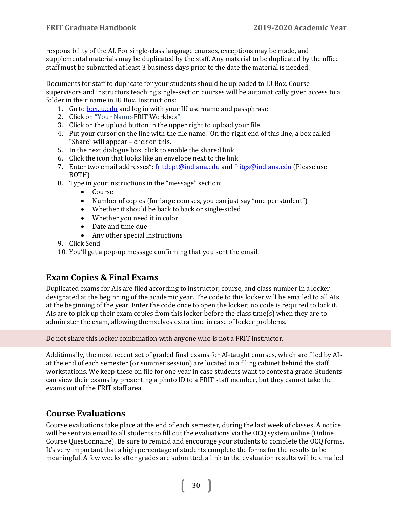responsibility of the AI. For single-class language courses, exceptions may be made, and supplemental materials may be duplicated by the staff. Any material to be duplicated by the office staff must be submitted at least 3 business days prior to the date the material is needed.

Documents for staff to duplicate for your students should be uploaded to IU Box. Course supervisors and instructors teaching single-section courses will be automatically given access to a folder in their name in IU Box. Instructions:

- 1. Go to box.ju.edu and log in with your IU username and passphrase
- 2. Click on "Your Name-FRIT Workbox"
- 3. Click on the upload button in the upper right to upload your file
- 4. Put your cursor on the line with the file name. On the right end of this line, a box called "Share" will appear – click on this.
- 5. In the next dialogue box, click to enable the shared link
- 6. Click the icon that looks like an envelope next to the link
- 7. Enter two email addresses": [fritdept@indiana.edu](mailto:fritdept@indiana.edu) and [fritgs@indiana.edu](mailto:fritgs@indiana.edu) (Please use BOTH)
- 8. Type in your instructions in the "message" section:
	- Course
	- Number of copies (for large courses, you can just say "one per student")
	- Whether it should be back to back or single-sided
	- Whether you need it in color
	- Date and time due
	- Any other special instructions
- 9. Click Send
- 10. You'll get a pop-up message confirming that you sent the email.

# <span id="page-29-0"></span>**Exam Copies & Final Exams**

Duplicated exams for AIs are filed according to instructor, course, and class number in a locker designated at the beginning of the academic year. The code to this locker will be emailed to all AIs at the beginning of the year. Enter the code once to open the locker; no code is required to lock it. AIs are to pick up their exam copies from this locker before the class time(s) when they are to administer the exam, allowing themselves extra time in case of locker problems.

Do not share this locker combination with anyone who is not a FRIT instructor.

Additionally, the most recent set of graded final exams for AI-taught courses, which are filed by AIs at the end of each semester (or summer session) are located in a filing cabinet behind the staff workstations. We keep these on file for one year in case students want to contest a grade. Students can view their exams by presenting a photo ID to a FRIT staff member, but they cannot take the exams out of the FRIT staff area.

# <span id="page-29-1"></span>**Course Evaluations**

Course evaluations take place at the end of each semester, during the last week of classes. A notice will be sent via email to all students to fill out the evaluations via the OCQ system online (Online Course Questionnaire). Be sure to remind and encourage your students to complete the OCQ forms. It's very important that a high percentage of students complete the forms for the results to be meaningful. A few weeks after grades are submitted, a link to the evaluation results will be emailed

30 }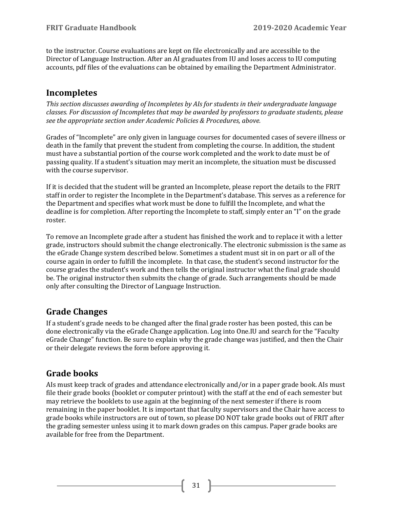to the instructor. Course evaluations are kept on file electronically and are accessible to the Director of Language Instruction. After an AI graduates from IU and loses access to IU computing accounts, pdf files of the evaluations can be obtained by emailing the Department Administrator.

# <span id="page-30-0"></span>**Incompletes**

*This section discusses awarding of Incompletes by AIs for students in their undergraduate language classes. For discussion of Incompletes that may be awarded by professors to graduate students, please see the appropriate section under Academic Policies & Procedures, above.*

Grades of "Incomplete" are only given in language courses for documented cases of severe illness or death in the family that prevent the student from completing the course. In addition, the student must have a substantial portion of the course work completed and the work to date must be of passing quality. If a student's situation may merit an incomplete, the situation must be discussed with the course supervisor.

If it is decided that the student will be granted an Incomplete, please report the details to the FRIT staff in order to register the Incomplete in the Department's database. This serves as a reference for the Department and specifies what work must be done to fulfill the Incomplete, and what the deadline is for completion. After reporting the Incomplete to staff, simply enter an "I" on the grade roster.

To remove an Incomplete grade after a student has finished the work and to replace it with a letter grade, instructors should submit the change electronically. The electronic submission is the same as the eGrade Change system described below. Sometimes a student must sit in on part or all of the course again in order to fulfill the incomplete. In that case, the student's second instructor for the course grades the student's work and then tells the original instructor what the final grade should be. The original instructor then submits the change of grade. Such arrangements should be made only after consulting the Director of Language Instruction.

# <span id="page-30-1"></span>**Grade Changes**

If a student's grade needs to be changed after the final grade roster has been posted, this can be done electronically via the eGrade Change application. Log into One.IU and search for the "Faculty eGrade Change" function. Be sure to explain why the grade change was justified, and then the Chair or their delegate reviews the form before approving it.

# <span id="page-30-2"></span>**Grade books**

AIs must keep track of grades and attendance electronically and/or in a paper grade book. AIs must file their grade books (booklet or computer printout) with the staff at the end of each semester but may retrieve the booklets to use again at the beginning of the next semester if there is room remaining in the paper booklet. It is important that faculty supervisors and the Chair have access to grade books while instructors are out of town, so please DO NOT take grade books out of FRIT after the grading semester unless using it to mark down grades on this campus. Paper grade books are available for free from the Department.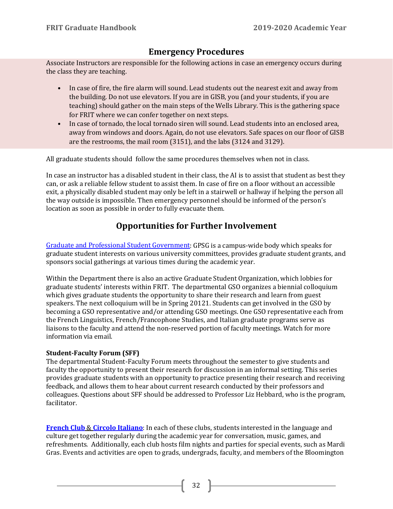# <span id="page-31-0"></span>**Emergency Procedures**

Associate Instructors are responsible for the following actions in case an emergency occurs during the class they are teaching.

- In case of fire, the fire alarm will sound. Lead students out the nearest exit and away from the building. Do not use elevators. If you are in GISB, you (and your students, if you are teaching) should gather on the main steps of the Wells Library. This is the gathering space for FRIT where we can confer together on next steps.
- In case of tornado, the local tornado siren will sound. Lead students into an enclosed area, away from windows and doors. Again, do not use elevators. Safe spaces on our floor of GISB are the restrooms, the mail room (3151), and the labs (3124 and 3129).

All graduate students should follow the same procedures themselves when not in class.

In case an instructor has a disabled student in their class, the AI is to assist that student as best they can, or ask a reliable fellow student to assist them. In case of fire on a floor without an accessible exit, a physically disabled student may only be left in a stairwell or hallway if helping the person all the way outside is impossible. Then emergency personnel should be informed of the person's location as soon as possible in order to fully evacuate them.

# **Opportunities for Further Involvement**

<span id="page-31-1"></span>[Graduate and Professional Student Government:](http://www.indiana.edu/%7Egpso/) GPSG is a campus-wide body which speaks for graduate student interests on various university committees, provides graduate student grants, and sponsors social gatherings at various times during the academic year.

Within the Department there is also an active Graduate Student Organization, which lobbies for graduate students' interests within FRIT. The departmental GSO organizes a biennial colloquium which gives graduate students the opportunity to share their research and learn from guest speakers. The next colloquium will be in Spring 20121. Students can get involved in the GSO by becoming a GSO representative and/or attending GSO meetings. One GSO representative each from the French Linguistics, French/Francophone Studies, and Italian graduate programs serve as liaisons to the faculty and attend the non-reserved portion of faculty meetings. Watch for more information via email.

#### **Student-Faculty Forum (SFF)**

The departmental Student-Faculty Forum meets throughout the semester to give students and faculty the opportunity to present their research for discussion in an informal setting. This series provides graduate students with an opportunity to practice presenting their research and receiving feedback, and allows them to hear about current research conducted by their professors and colleagues. Questions about SFF should be addressed to Professor Liz Hebbard, who is the program, facilitator.

**[French Club](https://frit.indiana.edu/undergraduate/student-experience/french-club.html)** & **[Circolo Italiano](https://frit.indiana.edu/undergraduate/student-experience/italian-club.html)**: In each of these clubs, students interested in the language and culture get together regularly during the academic year for conversation, music, games, and refreshments. Additionally, each club hosts film nights and parties for special events, such as Mardi Gras. Events and activities are open to grads, undergrads, faculty, and members of the Bloomington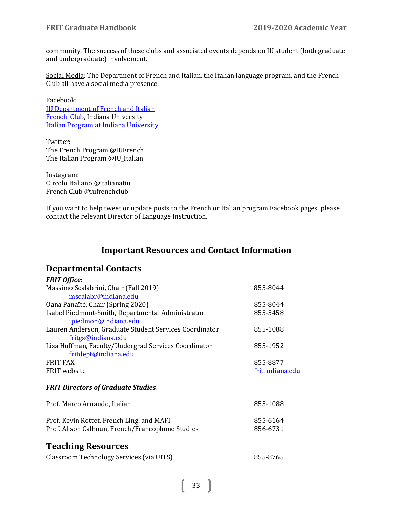community. The success of these clubs and associated events depends on IU student (both graduate and undergraduate) involvement.

Social Media: The Department of French and Italian, the Italian language program, and the French Club all have a social media presence.

Facebook: [IU Department of French and Italian](https://www.facebook.com/FRITIU/) [French Club,](https://www.facebook.com/IUFrenchClub/) Indiana University [Italian Program at Indiana University](https://www.facebook.com/italianprogramIU/)

Twitter: The French Program @IUFrench The Italian Program @IU\_Italian

Instagram: Circolo Italiano @italianatiu French Club @iufrenchclub

If you want to help tweet or update posts to the French or Italian program Facebook pages, please contact the relevant Director of Language Instruction.

# **Important Resources and Contact Information**

### <span id="page-32-1"></span><span id="page-32-0"></span>**Departmental Contacts**

<span id="page-32-2"></span>

| <b>FRIT Office:</b>                                    |                  |
|--------------------------------------------------------|------------------|
| Massimo Scalabrini, Chair (Fall 2019)                  | 855-8044         |
| mscalabr@indiana.edu                                   |                  |
| Oana Panaïté, Chair (Spring 2020)                      | 855-8044         |
| Isabel Piedmont-Smith, Departmental Administrator      | 855-5458         |
| ipiedmon@indiana.edu                                   |                  |
| Lauren Anderson, Graduate Student Services Coordinator | 855-1088         |
| fritgs@indiana.edu                                     |                  |
| Lisa Huffman, Faculty/Undergrad Services Coordinator   | 855-1952         |
| fritdept@indiana.edu                                   |                  |
| <b>FRIT FAX</b>                                        | 855-8877         |
| FRIT website                                           | frit.indiana.edu |
| <b>FRIT Directors of Graduate Studies:</b>             |                  |
|                                                        |                  |
| Prof. Marco Arnaudo, Italian                           | 855-1088         |
|                                                        |                  |
| Prof. Kevin Rottet, French Ling. and MAFI              | 855-6164         |
| Prof. Alison Calhoun, French/Francophone Studies       | 856-6731         |
|                                                        |                  |
| <b>Teaching Resources</b>                              |                  |
| Classroom Technology Services (via UITS)               | 855-8765         |
|                                                        |                  |